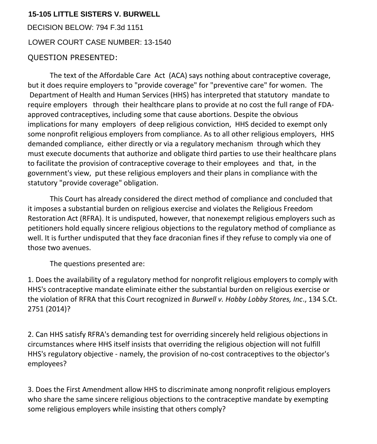## **15-105 LITTLE SISTERS V. BURWELL**

DECISION BELOW: 794 F.3d 1151 QUESTION PRESENTED: LOWER COURT CASE NUMBER: 13-1540

The text of the Affordable Care Act (ACA) says nothing about contraceptive coverage, but it does require employers to "provide coverage" for "preventive care" for women. The Department of Health and Human Services (HHS) has interpreted that statutory mandate to require employers through their healthcare plans to provide at no cost the full range of FDAapproved contraceptives, including some that cause abortions. Despite the obvious implications for many employers of deep religious conviction, HHS decided to exempt only some nonprofit religious employers from compliance. As to all other religious employers, HHS demanded compliance, either directly or via a regulatory mechanism through which they must execute documents that authorize and obligate third parties to use their healthcare plans to facilitate the provision of contraceptive coverage to their employees and that, in the government's view, put these religious employers and their plans in compliance with the statutory "provide coverage" obligation.

This Court has already considered the direct method of compliance and concluded that it imposes a substantial burden on religious exercise and violates the Religious Freedom Restoration Act (RFRA). It is undisputed, however, that nonexempt religious employers such as petitioners hold equally sincere religious objections to the regulatory method of compliance as well. It is further undisputed that they face draconian fines if they refuse to comply via one of those two avenues.

The questions presented are:

1. Does the availability of a regulatory method for nonprofit religious employers to comply with HHS's contraceptive mandate eliminate either the substantial burden on religious exercise or the violation of RFRA that this Court recognized in *Burwell v. Hobby Lobby Stores, Inc*., 134 S.Ct. 2751 (2014)?

2. Can HHS satisfy RFRA's demanding test for overriding sincerely held religious objections in circumstances where HHS itself insists that overriding the religious objection will not fulfill HHS's regulatory objective - namely, the provision of no-cost contraceptives to the objector's employees?

3. Does the First Amendment allow HHS to discriminate among nonprofit religious employers who share the same sincere religious objections to the contraceptive mandate by exempting some religious employers while insisting that others comply?